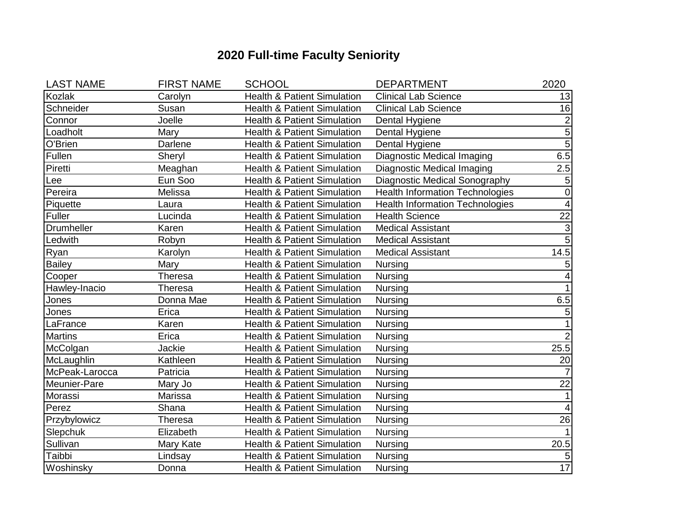## **2020 Full-time Faculty Seniority**

| <b>LAST NAME</b> | <b>FIRST NAME</b> | <b>SCHOOL</b>                                                         | <b>DEPARTMENT</b>                      | 2020                      |
|------------------|-------------------|-----------------------------------------------------------------------|----------------------------------------|---------------------------|
| Kozlak           | Carolyn           | <b>Health &amp; Patient Simulation</b><br><b>Clinical Lab Science</b> |                                        | 13                        |
| Schneider        | Susan             | <b>Health &amp; Patient Simulation</b>                                | <b>Clinical Lab Science</b>            | 16                        |
| Connor           | Joelle            | <b>Health &amp; Patient Simulation</b>                                | Dental Hygiene                         | $\overline{\mathbf{c}}$   |
| Loadholt         | Mary              | <b>Health &amp; Patient Simulation</b>                                | Dental Hygiene                         | 5                         |
| O'Brien          | Darlene           | <b>Health &amp; Patient Simulation</b>                                | Dental Hygiene                         | $\overline{5}$            |
| Fullen           | Sheryl            | <b>Health &amp; Patient Simulation</b>                                | Diagnostic Medical Imaging             | 6.5                       |
| Piretti          | Meaghan           | <b>Health &amp; Patient Simulation</b>                                | Diagnostic Medical Imaging             | 2.5                       |
| Lee              | Eun Soo           | <b>Health &amp; Patient Simulation</b>                                | Diagnostic Medical Sonography          | $\sqrt{5}$                |
| Pereira          | Melissa           | <b>Health &amp; Patient Simulation</b>                                | <b>Health Information Technologies</b> | $\overline{0}$            |
| Piquette         | Laura             | <b>Health &amp; Patient Simulation</b>                                | <b>Health Information Technologies</b> | 4                         |
| Fuller           | Lucinda           | <b>Health &amp; Patient Simulation</b>                                | <b>Health Science</b>                  | 22                        |
| Drumheller       | Karen             | <b>Health &amp; Patient Simulation</b>                                | <b>Medical Assistant</b>               | $\ensuremath{\mathsf{3}}$ |
| Ledwith          | Robyn             | <b>Health &amp; Patient Simulation</b>                                | <b>Medical Assistant</b>               | 5                         |
| Ryan             | Karolyn           | <b>Health &amp; Patient Simulation</b>                                | <b>Medical Assistant</b>               | 14.5                      |
| <b>Bailey</b>    | Mary              | <b>Health &amp; Patient Simulation</b>                                | <b>Nursing</b>                         | 5                         |
| Cooper           | <b>Theresa</b>    | <b>Health &amp; Patient Simulation</b>                                | Nursing                                | $\overline{\mathbf{4}}$   |
| Hawley-Inacio    | Theresa           | <b>Health &amp; Patient Simulation</b>                                | <b>Nursing</b>                         | $\mathbf{1}$              |
| Jones            | Donna Mae         | <b>Health &amp; Patient Simulation</b>                                | Nursing                                | 6.5                       |
| Jones            | Erica             | <b>Health &amp; Patient Simulation</b>                                | <b>Nursing</b>                         | 5                         |
| LaFrance         | Karen             | <b>Health &amp; Patient Simulation</b>                                | <b>Nursing</b>                         | $\mathbf{1}$              |
| <b>Martins</b>   | Erica             | <b>Health &amp; Patient Simulation</b>                                | <b>Nursing</b>                         | $2\vert$                  |
| McColgan         | Jackie            | <b>Health &amp; Patient Simulation</b>                                | <b>Nursing</b>                         | 25.5                      |
| McLaughlin       | Kathleen          | <b>Health &amp; Patient Simulation</b>                                | <b>Nursing</b>                         | 20                        |
| McPeak-Larocca   | Patricia          | <b>Health &amp; Patient Simulation</b>                                | <b>Nursing</b>                         | $\overline{7}$            |
| Meunier-Pare     | Mary Jo           | <b>Health &amp; Patient Simulation</b>                                | Nursing                                | 22                        |
| Morassi          | Marissa           | <b>Health &amp; Patient Simulation</b>                                | <b>Nursing</b>                         | $\mathbf{1}$              |
| Perez            | Shana             | <b>Health &amp; Patient Simulation</b>                                | <b>Nursing</b>                         | $\overline{4}$            |
| Przybylowicz     | <b>Theresa</b>    | <b>Health &amp; Patient Simulation</b>                                | Nursing                                | 26                        |
| Slepchuk         | Elizabeth         | <b>Health &amp; Patient Simulation</b>                                | <b>Nursing</b>                         | $\mathbf{1}$              |
| Sullivan         | Mary Kate         | <b>Health &amp; Patient Simulation</b>                                | Nursing                                | 20.5                      |
| Taibbi           | Lindsay           | <b>Health &amp; Patient Simulation</b>                                | <b>Nursing</b>                         | $\mathbf 5$               |
| Woshinsky        | Donna             | <b>Health &amp; Patient Simulation</b>                                | <b>Nursing</b>                         | 17                        |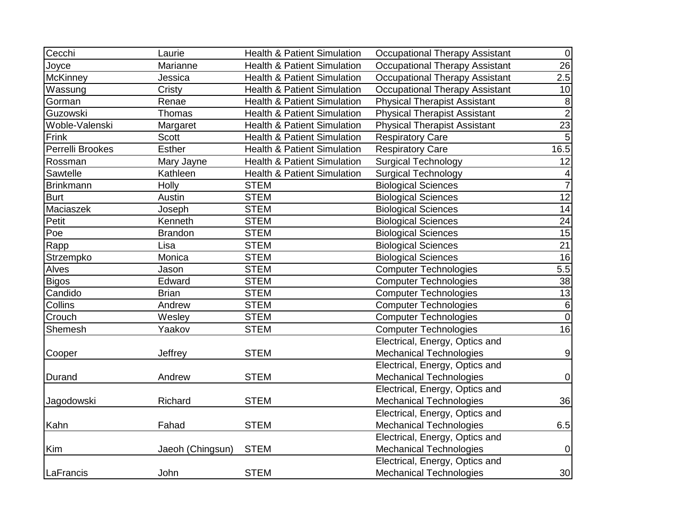| Cecchi           | Laurie           | <b>Health &amp; Patient Simulation</b> | <b>Occupational Therapy Assistant</b> | $\overline{0}$   |
|------------------|------------------|----------------------------------------|---------------------------------------|------------------|
| Joyce            | Marianne         | <b>Health &amp; Patient Simulation</b> | <b>Occupational Therapy Assistant</b> | 26               |
| McKinney         | Jessica          | <b>Health &amp; Patient Simulation</b> | <b>Occupational Therapy Assistant</b> | 2.5              |
| Wassung          | Cristy           | <b>Health &amp; Patient Simulation</b> | <b>Occupational Therapy Assistant</b> | 10               |
| Gorman           | Renae            | <b>Health &amp; Patient Simulation</b> | <b>Physical Therapist Assistant</b>   | $\, 8$           |
| Guzowski         | Thomas           | <b>Health &amp; Patient Simulation</b> | <b>Physical Therapist Assistant</b>   | $\overline{2}$   |
| Woble-Valenski   | Margaret         | Health & Patient Simulation            | <b>Physical Therapist Assistant</b>   | 23               |
| Frink            | <b>Scott</b>     | <b>Health &amp; Patient Simulation</b> | <b>Respiratory Care</b>               | 5                |
| Perrelli Brookes | <b>Esther</b>    | <b>Health &amp; Patient Simulation</b> | <b>Respiratory Care</b>               | 16.5             |
| Rossman          | Mary Jayne       | <b>Health &amp; Patient Simulation</b> | <b>Surgical Technology</b>            | 12               |
| Sawtelle         | Kathleen         | <b>Health &amp; Patient Simulation</b> | <b>Surgical Technology</b>            | 4                |
| Brinkmann        | Holly            | <b>STEM</b>                            | <b>Biological Sciences</b>            | $\overline{7}$   |
| <b>Burt</b>      | Austin           | <b>STEM</b>                            | <b>Biological Sciences</b>            | $\overline{12}$  |
| Maciaszek        | Joseph           | <b>STEM</b>                            | <b>Biological Sciences</b>            | 14               |
| Petit            | Kenneth          | <b>STEM</b>                            | <b>Biological Sciences</b>            | 24               |
| Poe              | <b>Brandon</b>   | <b>STEM</b>                            | <b>Biological Sciences</b>            | 15               |
| Rapp             | Lisa             | <b>STEM</b>                            | <b>Biological Sciences</b>            | $\overline{21}$  |
| Strzempko        | Monica           | <b>STEM</b>                            | <b>Biological Sciences</b>            | 16               |
| Alves            | Jason            | <b>STEM</b>                            | <b>Computer Technologies</b>          | 5.5              |
| <b>Bigos</b>     | Edward           | <b>STEM</b>                            | <b>Computer Technologies</b>          | 38               |
| Candido          | <b>Brian</b>     | <b>STEM</b>                            | <b>Computer Technologies</b>          | 13               |
| Collins          | Andrew           | <b>STEM</b>                            | <b>Computer Technologies</b>          | $6\phantom{1}6$  |
| Crouch           | Wesley           | <b>STEM</b>                            | <b>Computer Technologies</b>          | $\mathbf 0$      |
| Shemesh          | Yaakov           | <b>STEM</b>                            | <b>Computer Technologies</b>          | 16               |
|                  |                  |                                        | Electrical, Energy, Optics and        |                  |
| Cooper           | Jeffrey          | <b>STEM</b>                            | <b>Mechanical Technologies</b>        | $9\,$            |
|                  |                  |                                        | Electrical, Energy, Optics and        |                  |
| Durand           | Andrew           | <b>STEM</b>                            | <b>Mechanical Technologies</b>        | $\boldsymbol{0}$ |
|                  |                  |                                        | Electrical, Energy, Optics and        |                  |
| Jagodowski       | Richard          | <b>STEM</b>                            | <b>Mechanical Technologies</b>        | 36               |
|                  |                  |                                        | Electrical, Energy, Optics and        |                  |
| Kahn             | Fahad            | <b>STEM</b>                            | <b>Mechanical Technologies</b>        | 6.5              |
|                  |                  |                                        | Electrical, Energy, Optics and        |                  |
| Kim              | Jaeoh (Chingsun) | <b>STEM</b>                            | <b>Mechanical Technologies</b>        | $\boldsymbol{0}$ |
|                  |                  |                                        | Electrical, Energy, Optics and        |                  |
| LaFrancis        | John             | <b>STEM</b>                            | <b>Mechanical Technologies</b>        | 30               |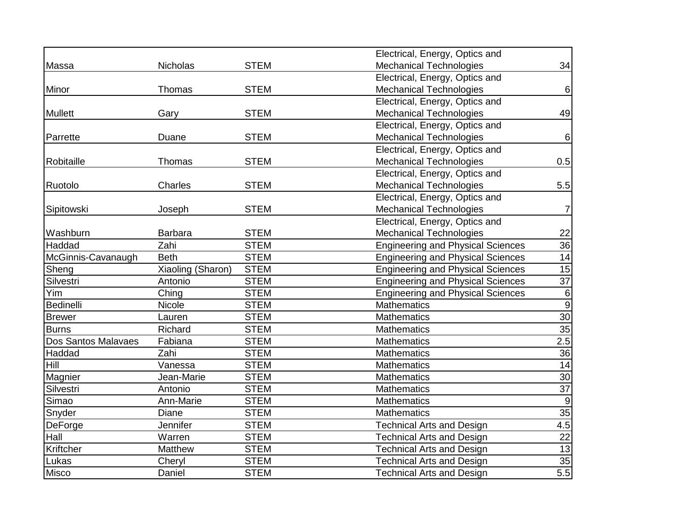|                            |                   |             | Electrical, Energy, Optics and           |                 |
|----------------------------|-------------------|-------------|------------------------------------------|-----------------|
| Massa                      | <b>Nicholas</b>   | <b>STEM</b> | <b>Mechanical Technologies</b>           | 34              |
|                            |                   |             | Electrical, Energy, Optics and           |                 |
| Minor                      | <b>Thomas</b>     | <b>STEM</b> | <b>Mechanical Technologies</b>           | $6\phantom{1}$  |
|                            |                   |             | Electrical, Energy, Optics and           |                 |
| <b>Mullett</b>             | Gary              | <b>STEM</b> | <b>Mechanical Technologies</b>           | 49              |
|                            |                   |             | Electrical, Energy, Optics and           |                 |
| Parrette                   | Duane             | <b>STEM</b> | <b>Mechanical Technologies</b>           | $\,6$           |
|                            |                   |             | Electrical, Energy, Optics and           |                 |
| Robitaille                 | Thomas            | <b>STEM</b> | <b>Mechanical Technologies</b>           | 0.5             |
|                            |                   |             | Electrical, Energy, Optics and           |                 |
| Ruotolo                    | Charles           | <b>STEM</b> | <b>Mechanical Technologies</b>           | 5.5             |
|                            |                   |             | Electrical, Energy, Optics and           |                 |
| Sipitowski                 | Joseph            | <b>STEM</b> | <b>Mechanical Technologies</b>           | 7               |
|                            |                   |             | Electrical, Energy, Optics and           |                 |
| Washburn                   | <b>Barbara</b>    | <b>STEM</b> | <b>Mechanical Technologies</b>           | 22              |
| Haddad                     | Zahi              | <b>STEM</b> | <b>Engineering and Physical Sciences</b> | 36              |
| McGinnis-Cavanaugh         | <b>Beth</b>       | <b>STEM</b> | <b>Engineering and Physical Sciences</b> | 14              |
| Sheng                      | Xiaoling (Sharon) | <b>STEM</b> | <b>Engineering and Physical Sciences</b> | 15              |
| Silvestri                  | Antonio           | <b>STEM</b> | <b>Engineering and Physical Sciences</b> | $\overline{37}$ |
| Yim                        | Ching             | <b>STEM</b> | <b>Engineering and Physical Sciences</b> | $\,$ 6 $\,$     |
| Bedinelli                  | Nicole            | <b>STEM</b> | Mathematics                              | $\overline{9}$  |
| <b>Brewer</b>              | Lauren            | <b>STEM</b> | <b>Mathematics</b>                       | 30              |
| <b>Burns</b>               | Richard           | <b>STEM</b> | <b>Mathematics</b>                       | $\overline{35}$ |
| <b>Dos Santos Malavaes</b> | Fabiana           | <b>STEM</b> | <b>Mathematics</b>                       | 2.5             |
| Haddad                     | Zahi              | <b>STEM</b> | <b>Mathematics</b>                       | $\overline{36}$ |
| Hill                       | Vanessa           | <b>STEM</b> | <b>Mathematics</b>                       | 14              |
| Magnier                    | Jean-Marie        | <b>STEM</b> | <b>Mathematics</b>                       | $\overline{30}$ |
| Silvestri                  | Antonio           | <b>STEM</b> | <b>Mathematics</b>                       | $\overline{37}$ |
| Simao                      | Ann-Marie         | <b>STEM</b> | <b>Mathematics</b>                       | $9\,$           |
| Snyder                     | Diane             | <b>STEM</b> | Mathematics                              | 35              |
| DeForge                    | Jennifer          | <b>STEM</b> | <b>Technical Arts and Design</b>         | 4.5             |
| Hall                       | Warren            | <b>STEM</b> | <b>Technical Arts and Design</b>         | $\overline{22}$ |
| Kriftcher                  | Matthew           | <b>STEM</b> | <b>Technical Arts and Design</b>         | 13              |
| Lukas                      | Cheryl            | <b>STEM</b> | <b>Technical Arts and Design</b>         | 35              |
| <b>Misco</b>               | Daniel            | <b>STEM</b> | <b>Technical Arts and Design</b>         | 5.5             |